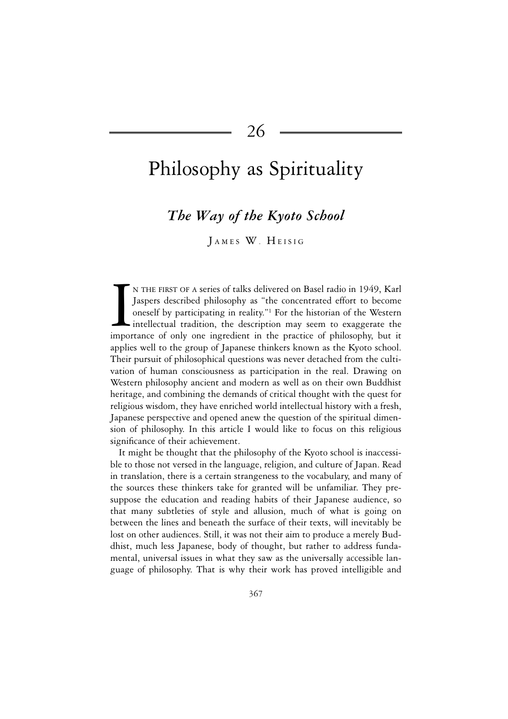# Philosophy as Spirituality

26

## *The Way of the Kyoto School*

JAMES W. HEISIG

IM THE FIRST OF A series of talks delivered on Basel radio in 1949, Karl Jaspers described philosophy as "the concentrated effort to become oneself by participating in reality."<sup>1</sup> For the historian of the Western intellec N THE FIRST OF A series of talks delivered on Basel radio in 1949, Karl Jaspers described philosophy as "the concentrated effort to become oneself by participating in reality."1 For the historian of the Western intellectual tradition, the description may seem to exaggerate the applies well to the group of Japanese thinkers known as the Kyoto school. Their pursuit of philosophical questions was never detached from the cultivation of human consciousness as participation in the real. Drawing on Western philosophy ancient and modern as well as on their own Buddhist heritage, and combining the demands of critical thought with the quest for religious wisdom, they have enriched world intellectual history with a fresh, Japanese perspective and opened anew the question of the spiritual dimension of philosophy. In this article I would like to focus on this religious significance of their achievement.

It might be thought that the philosophy of the Kyoto school is inaccessible to those not versed in the language, religion, and culture of Japan. Read in translation, there is a certain strangeness to the vocabulary, and many of the sources these thinkers take for granted will be unfamiliar. They presuppose the education and reading habits of their Japanese audience, so that many subtleties of style and allusion, much of what is going on between the lines and beneath the surface of their texts, will inevitably be lost on other audiences. Still, it was not their aim to produce a merely Buddhist, much less Japanese, body of thought, but rather to address fundamental, universal issues in what they saw as the universally accessible language of philosophy. That is why their work has proved intelligible and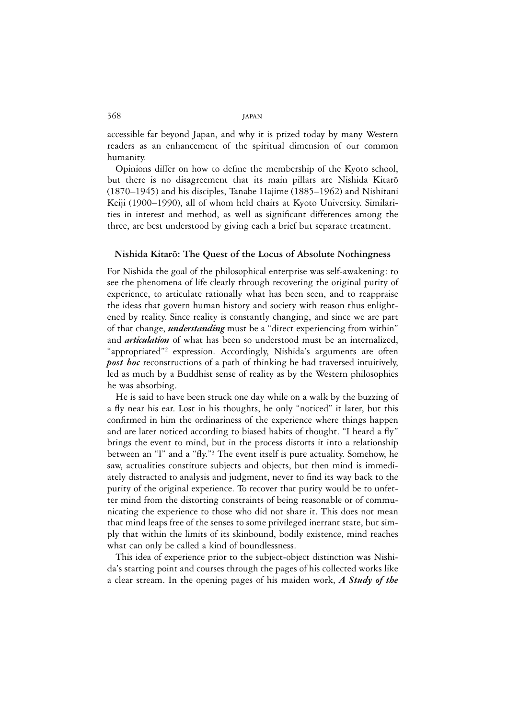accessible far beyond Japan, and why it is prized today by many Western readers as an enhancement of the spiritual dimension of our common humanity.

Opinions differ on how to define the membership of the Kyoto school, but there is no disagreement that its main pillars are Nishida Kitarõ (1870–1945) and his disciples, Tanabe Hajime (1885–1962) and Nishitani Keiji (1900–1990), all of whom held chairs at Kyoto University. Similarities in interest and method, as well as significant differences among the three, are best understood by giving each a brief but separate treatment.

#### **Nishida Kitarõ: The Quest of the Locus of Absolute Nothingness**

For Nishida the goal of the philosophical enterprise was self-awakening: to see the phenomena of life clearly through recovering the original purity of experience, to articulate rationally what has been seen, and to reappraise the ideas that govern human history and society with reason thus enlightened by reality. Since reality is constantly changing, and since we are part of that change, *understanding* must be a "direct experiencing from within" and *articulation* of what has been so understood must be an internalized, "appropriated"<sup>2</sup> expression. Accordingly, Nishida's arguments are often *post hoc* reconstructions of a path of thinking he had traversed intuitively, led as much by a Buddhist sense of reality as by the Western philosophies he was absorbing.

He is said to have been struck one day while on a walk by the buzzing of a fly near his ear. Lost in his thoughts, he only "noticed" it later, but this confirmed in him the ordinariness of the experience where things happen and are later noticed according to biased habits of thought. "I heard a fly" brings the event to mind, but in the process distorts it into a relationship between an "I" and a "fly."<sup>3</sup> The event itself is pure actuality. Somehow, he saw, actualities constitute subjects and objects, but then mind is immediately distracted to analysis and judgment, never to find its way back to the purity of the original experience. To recover that purity would be to unfetter mind from the distorting constraints of being reasonable or of communicating the experience to those who did not share it. This does not mean that mind leaps free of the senses to some privileged inerrant state, but simply that within the limits of its skinbound, bodily existence, mind reaches what can only be called a kind of boundlessness.

This idea of experience prior to the subject-object distinction was Nishida's starting point and courses through the pages of his collected works like a clear stream. In the opening pages of his maiden work, *A Study of the*

#### 368 JAPAN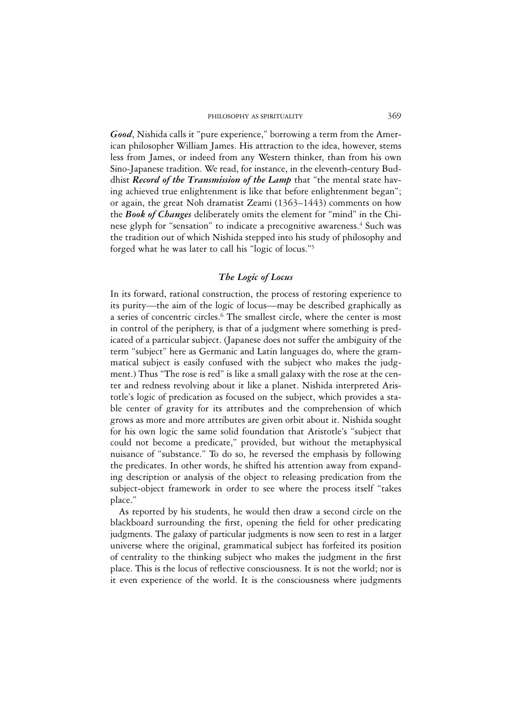*Good*, Nishida calls it "pure experience," borrowing a term from the American philosopher William James. His attraction to the idea, however, stems less from James, or indeed from any Western thinker, than from his own Sino-Japanese tradition. We read, for instance, in the eleventh-century Buddhist *Record of the Transmission of the Lamp* that "the mental state having achieved true enlightenment is like that before enlightenment began"; or again, the great Noh dramatist Zeami (1363–1443) comments on how the *Book of Changes* deliberately omits the element for "mind" in the Chinese glyph for "sensation" to indicate a precognitive awareness.<sup>4</sup> Such was the tradition out of which Nishida stepped into his study of philosophy and forged what he was later to call his "logic of locus."5

### *The Logic of Locus*

In its forward, rational construction, the process of restoring experience to its purity—the aim of the logic of locus—may be described graphically as a series of concentric circles.6 The smallest circle, where the center is most in control of the periphery, is that of a judgment where something is predicated of a particular subject. (Japanese does not suffer the ambiguity of the term "subject" here as Germanic and Latin languages do, where the grammatical subject is easily confused with the subject who makes the judgment.) Thus "The rose is red" is like a small galaxy with the rose at the center and redness revolving about it like a planet. Nishida interpreted Aristotle's logic of predication as focused on the subject, which provides a stable center of gravity for its attributes and the comprehension of which grows as more and more attributes are given orbit about it. Nishida sought for his own logic the same solid foundation that Aristotle's "subject that could not become a predicate," provided, but without the metaphysical nuisance of "substance." To do so, he reversed the emphasis by following the predicates. In other words, he shifted his attention away from expanding description or analysis of the object to releasing predication from the subject-object framework in order to see where the process itself "takes place."

As reported by his students, he would then draw a second circle on the blackboard surrounding the first, opening the field for other predicating judgments. The galaxy of particular judgments is now seen to rest in a larger universe where the original, grammatical subject has forfeited its position of centrality to the thinking subject who makes the judgment in the first place. This is the locus of reflective consciousness. It is not the world; nor is it even experience of the world. It is the consciousness where judgments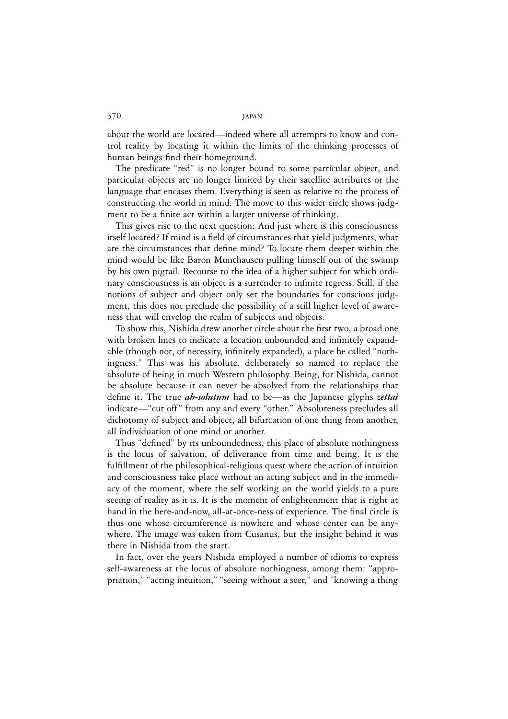about the world are located—indeed where all attempts to know and control reality by locating it within the limits of the thinking processes of human beings find their homeground.

The predicate "red" is no longer bound to some particular object, and particular objects are no longer limited by their satellite attributes or the language that encases them. Everything is seen as relative to the process of constructing the world in mind. The move to this wider circle shows judgment to be a finite act within a larger universe of thinking.

This gives rise to the next question: And just where is this consciousness itself located? If mind is a field of circumstances that yield judgments, what are the circumstances that define mind? To locate them deeper within the mind would be like Baron Munchausen pulling himself out of the swamp by his own pigtail. Recourse to the idea of a higher subject for which ordinary consciousness is an object is a surrender to infinite regress. Still, if the notions of subject and object only set the boundaries for conscious judgment, this does not preclude the possibility of a still higher level of awareness that will envelop the realm of subjects and objects.

To show this, Nishida drew another circle about the first two, a broad one with broken lines to indicate a location unbounded and infinitely expandable (though not, of necessity, infinitely expanded), a place he called "nothingness." This was his absolute, deliberately so named to replace the absolute of being in much Western philosophy. Being, for Nishida, cannot be absolute because it can never be absolved from the relationships that define it. The true *ab-solutum* had to be—as the Japanese glyphs *zettai* indicate—"cut off " from any and every "other." Absoluteness precludes all dichotomy of subject and object, all bifurcation of one thing from another, all individuation of one mind or another.

Thus "defined" by its unboundedness, this place of absolute nothingness is the locus of salvation, of deliverance from time and being. It is the fulfillment of the philosophical-religious quest where the action of intuition and consciousness take place without an acting subject and in the immediacy of the moment, where the self working on the world yields to a pure seeing of reality as it is. It is the moment of enlightenment that is right at hand in the here-and-now, all-at-once-ness of experience. The final circle is thus one whose circumference is nowhere and whose center can be anywhere. The image was taken from Cusanus, but the insight behind it was there in Nishida from the start.

In fact, over the years Nishida employed a number of idioms to express self-awareness at the locus of absolute nothingness, among them: "appropriation," "acting intuition," "seeing without a seer," and "knowing a thing

#### 370 JAPAN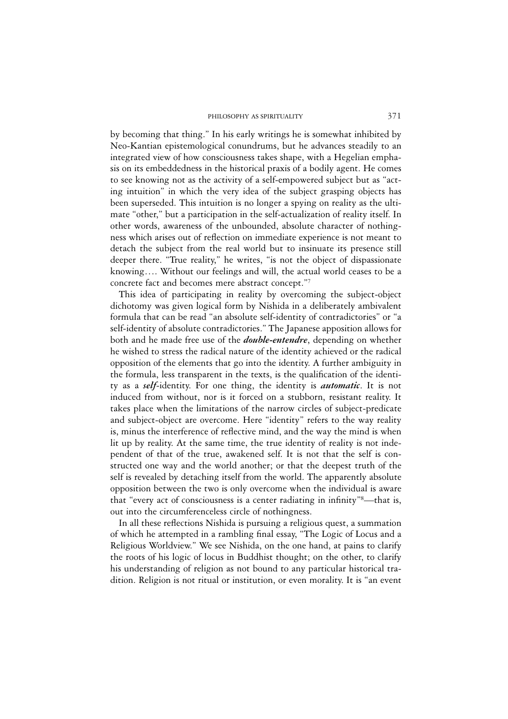by becoming that thing." In his early writings he is somewhat inhibited by Neo-Kantian epistemological conundrums, but he advances steadily to an integrated view of how consciousness takes shape, with a Hegelian emphasis on its embeddedness in the historical praxis of a bodily agent. He comes to see knowing not as the activity of a self-empowered subject but as "acting intuition" in which the very idea of the subject grasping objects has been superseded. This intuition is no longer a spying on reality as the ultimate "other," but a participation in the self-actualization of reality itself. In other words, awareness of the unbounded, absolute character of nothingness which arises out of reflection on immediate experience is not meant to detach the subject from the real world but to insinuate its presence still deeper there. "True reality," he writes, "is not the object of dispassionate knowing…. Without our feelings and will, the actual world ceases to be a concrete fact and becomes mere abstract concept."7

This idea of participating in reality by overcoming the subject-object dichotomy was given logical form by Nishida in a deliberately ambivalent formula that can be read "an absolute self-identity of contradictories" or "a self-identity of absolute contradictories." The Japanese apposition allows for both and he made free use of the *double-entendre*, depending on whether he wished to stress the radical nature of the identity achieved or the radical opposition of the elements that go into the identity. A further ambiguity in the formula, less transparent in the texts, is the qualification of the identity as a *self*-identity. For one thing, the identity is *automatic*. It is not induced from without, nor is it forced on a stubborn, resistant reality. It takes place when the limitations of the narrow circles of subject-predicate and subject-object are overcome. Here "identity" refers to the way reality is, minus the interference of reflective mind, and the way the mind is when lit up by reality. At the same time, the true identity of reality is not independent of that of the true, awakened self. It is not that the self is constructed one way and the world another; or that the deepest truth of the self is revealed by detaching itself from the world. The apparently absolute opposition between the two is only overcome when the individual is aware that "every act of consciousness is a center radiating in infinity"<sup>8</sup>—that is, out into the circumferenceless circle of nothingness.

In all these reflections Nishida is pursuing a religious quest, a summation of which he attempted in a rambling final essay, "The Logic of Locus and a Religious Worldview." We see Nishida, on the one hand, at pains to clarify the roots of his logic of locus in Buddhist thought; on the other, to clarify his understanding of religion as not bound to any particular historical tradition. Religion is not ritual or institution, or even morality. It is "an event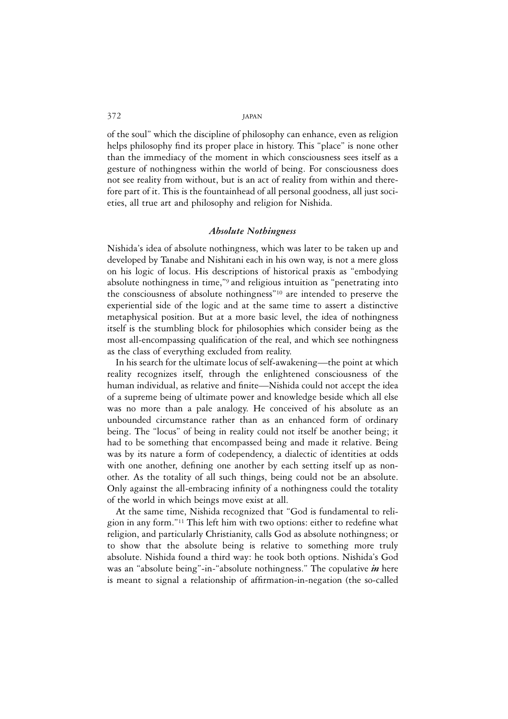of the soul" which the discipline of philosophy can enhance, even as religion helps philosophy find its proper place in history. This "place" is none other than the immediacy of the moment in which consciousness sees itself as a gesture of nothingness within the world of being. For consciousness does not see reality from without, but is an act of reality from within and therefore part of it. This is the fountainhead of all personal goodness, all just societies, all true art and philosophy and religion for Nishida.

#### *Absolute Nothingness*

Nishida's idea of absolute nothingness, which was later to be taken up and developed by Tanabe and Nishitani each in his own way, is not a mere gloss on his logic of locus. His descriptions of historical praxis as "embodying absolute nothingness in time,"9 and religious intuition as "penetrating into the consciousness of absolute nothingness"10 are intended to preserve the experiential side of the logic and at the same time to assert a distinctive metaphysical position. But at a more basic level, the idea of nothingness itself is the stumbling block for philosophies which consider being as the most all-encompassing qualification of the real, and which see nothingness as the class of everything excluded from reality.

In his search for the ultimate locus of self-awakening—the point at which reality recognizes itself, through the enlightened consciousness of the human individual, as relative and finite—Nishida could not accept the idea of a supreme being of ultimate power and knowledge beside which all else was no more than a pale analogy. He conceived of his absolute as an unbounded circumstance rather than as an enhanced form of ordinary being. The "locus" of being in reality could not itself be another being; it had to be something that encompassed being and made it relative. Being was by its nature a form of codependency, a dialectic of identities at odds with one another, defining one another by each setting itself up as nonother. As the totality of all such things, being could not be an absolute. Only against the all-embracing infinity of a nothingness could the totality of the world in which beings move exist at all.

At the same time, Nishida recognized that "God is fundamental to religion in any form."<sup>11</sup> This left him with two options: either to redefine what religion, and particularly Christianity, calls God as absolute nothingness; or to show that the absolute being is relative to something more truly absolute. Nishida found a third way: he took both options. Nishida's God was an "absolute being"-in-"absolute nothingness." The copulative *in* here is meant to signal a relationship of affirmation-in-negation (the so-called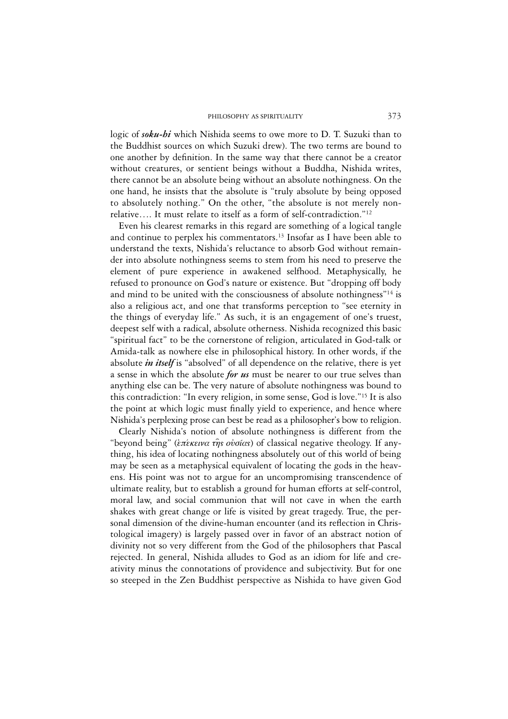logic of *soku-hi* which Nishida seems to owe more to D. T. Suzuki than to the Buddhist sources on which Suzuki drew). The two terms are bound to one another by definition. In the same way that there cannot be a creator without creatures, or sentient beings without a Buddha, Nishida writes, there cannot be an absolute being without an absolute nothingness. On the one hand, he insists that the absolute is "truly absolute by being opposed to absolutely nothing." On the other, "the absolute is not merely nonrelative…. It must relate to itself as a form of self-contradiction."12

Even his clearest remarks in this regard are something of a logical tangle and continue to perplex his commentators.13 Insofar as I have been able to understand the texts, Nishida's reluctance to absorb God without remainder into absolute nothingness seems to stem from his need to preserve the element of pure experience in awakened selfhood. Metaphysically, he refused to pronounce on God's nature or existence. But "dropping off body and mind to be united with the consciousness of absolute nothingness"14 is also a religious act, and one that transforms perception to "see eternity in the things of everyday life." As such, it is an engagement of one's truest, deepest self with a radical, absolute otherness. Nishida recognized this basic "spiritual fact" to be the cornerstone of religion, articulated in God-talk or Amida-talk as nowhere else in philosophical history. In other words, if the absolute *in itself* is "absolved" of all dependence on the relative, there is yet a sense in which the absolute *for us* must be nearer to our true selves than anything else can be. The very nature of absolute nothingness was bound to this contradiction: "In every religion, in some sense, God is love."15 It is also the point at which logic must finally yield to experience, and hence where Nishida's perplexing prose can best be read as a philosopher's bow to religion.

Clearly Nishida's notion of absolute nothingness is different from the "beyond being" ( $\epsilon \pi \epsilon \kappa \epsilon \nu \alpha$   $\tau \eta s$  ov $\sigma \omega s$ ) of classical negative theology. If anything, his idea of locating nothingness absolutely out of this world of being may be seen as a metaphysical equivalent of locating the gods in the heavens. His point was not to argue for an uncompromising transcendence of ultimate reality, but to establish a ground for human efforts at self-control, moral law, and social communion that will not cave in when the earth shakes with great change or life is visited by great tragedy. True, the personal dimension of the divine-human encounter (and its reflection in Christological imagery) is largely passed over in favor of an abstract notion of divinity not so very different from the God of the philosophers that Pascal rejected. In general, Nishida alludes to God as an idiom for life and creativity minus the connotations of providence and subjectivity. But for one so steeped in the Zen Buddhist perspective as Nishida to have given God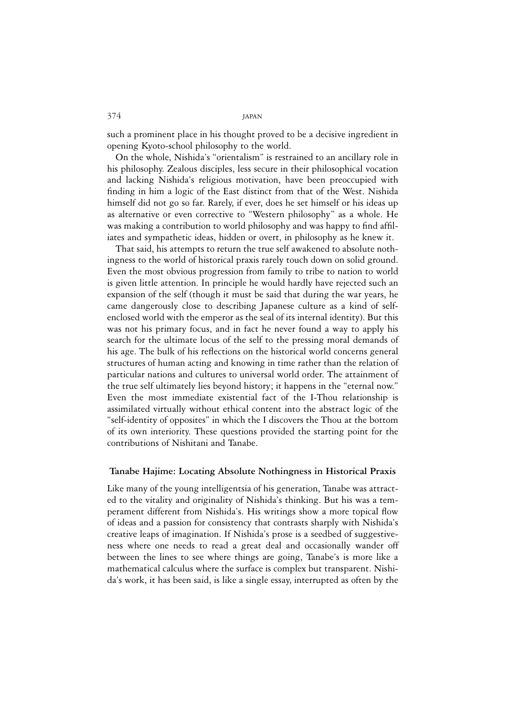such a prominent place in his thought proved to be a decisive ingredient in opening Kyoto-school philosophy to the world.

On the whole, Nishida's "orientalism" is restrained to an ancillary role in his philosophy. Zealous disciples, less secure in their philosophical vocation and lacking Nishida's religious motivation, have been preoccupied with finding in him a logic of the East distinct from that of the West. Nishida himself did not go so far. Rarely, if ever, does he set himself or his ideas up as alternative or even corrective to "Western philosophy" as a whole. He was making a contribution to world philosophy and was happy to find affiliates and sympathetic ideas, hidden or overt, in philosophy as he knew it.

That said, his attempts to return the true self awakened to absolute nothingness to the world of historical praxis rarely touch down on solid ground. Even the most obvious progression from family to tribe to nation to world is given little attention. In principle he would hardly have rejected such an expansion of the self (though it must be said that during the war years, he came dangerously close to describing Japanese culture as a kind of selfenclosed world with the emperor as the seal of its internal identity). But this was not his primary focus, and in fact he never found a way to apply his search for the ultimate locus of the self to the pressing moral demands of his age. The bulk of his reflections on the historical world concerns general structures of human acting and knowing in time rather than the relation of particular nations and cultures to universal world order. The attainment of the true self ultimately lies beyond history; it happens in the "eternal now." Even the most immediate existential fact of the I-Thou relationship is assimilated virtually without ethical content into the abstract logic of the "self-identity of opposites" in which the I discovers the Thou at the bottom of its own interiority. These questions provided the starting point for the contributions of Nishitani and Tanabe.

#### **Tanabe Hajime: Locating Absolute Nothingness in Historical Praxis**

Like many of the young intelligentsia of his generation, Tanabe was attracted to the vitality and originality of Nishida's thinking. But his was a temperament different from Nishida's. His writings show a more topical flow of ideas and a passion for consistency that contrasts sharply with Nishida's creative leaps of imagination. If Nishida's prose is a seedbed of suggestiveness where one needs to read a great deal and occasionally wander off between the lines to see where things are going, Tanabe's is more like a mathematical calculus where the surface is complex but transparent. Nishida's work, it has been said, is like a single essay, interrupted as often by the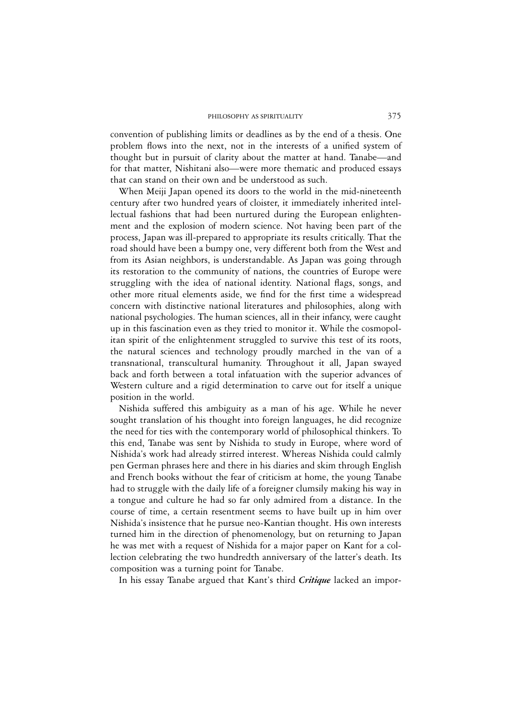convention of publishing limits or deadlines as by the end of a thesis. One problem flows into the next, not in the interests of a unified system of thought but in pursuit of clarity about the matter at hand. Tanabe—and for that matter, Nishitani also—were more thematic and produced essays that can stand on their own and be understood as such.

When Meiji Japan opened its doors to the world in the mid-nineteenth century after two hundred years of cloister, it immediately inherited intellectual fashions that had been nurtured during the European enlightenment and the explosion of modern science. Not having been part of the process, Japan was ill-prepared to appropriate its results critically. That the road should have been a bumpy one, very different both from the West and from its Asian neighbors, is understandable. As Japan was going through its restoration to the community of nations, the countries of Europe were struggling with the idea of national identity. National flags, songs, and other more ritual elements aside, we find for the first time a widespread concern with distinctive national literatures and philosophies, along with national psychologies. The human sciences, all in their infancy, were caught up in this fascination even as they tried to monitor it. While the cosmopolitan spirit of the enlightenment struggled to survive this test of its roots, the natural sciences and technology proudly marched in the van of a transnational, transcultural humanity. Throughout it all, Japan swayed back and forth between a total infatuation with the superior advances of Western culture and a rigid determination to carve out for itself a unique position in the world.

Nishida suffered this ambiguity as a man of his age. While he never sought translation of his thought into foreign languages, he did recognize the need for ties with the contemporary world of philosophical thinkers. To this end, Tanabe was sent by Nishida to study in Europe, where word of Nishida's work had already stirred interest. Whereas Nishida could calmly pen German phrases here and there in his diaries and skim through English and French books without the fear of criticism at home, the young Tanabe had to struggle with the daily life of a foreigner clumsily making his way in a tongue and culture he had so far only admired from a distance. In the course of time, a certain resentment seems to have built up in him over Nishida's insistence that he pursue neo-Kantian thought. His own interests turned him in the direction of phenomenology, but on returning to Japan he was met with a request of Nishida for a major paper on Kant for a collection celebrating the two hundredth anniversary of the latter's death. Its composition was a turning point for Tanabe.

In his essay Tanabe argued that Kant's third *Critique* lacked an impor-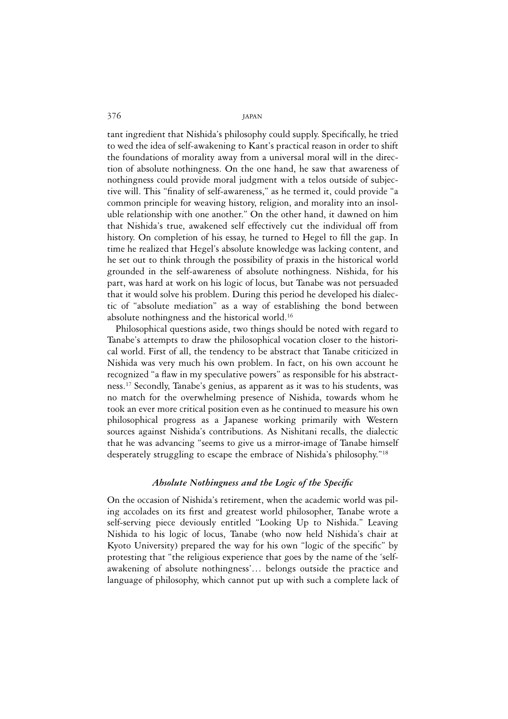tant ingredient that Nishida's philosophy could supply. Specifically, he tried to wed the idea of self-awakening to Kant's practical reason in order to shift the foundations of morality away from a universal moral will in the direction of absolute nothingness. On the one hand, he saw that awareness of nothingness could provide moral judgment with a telos outside of subjective will. This "finality of self-awareness," as he termed it, could provide "a common principle for weaving history, religion, and morality into an insoluble relationship with one another." On the other hand, it dawned on him that Nishida's true, awakened self effectively cut the individual off from history. On completion of his essay, he turned to Hegel to fill the gap. In time he realized that Hegel's absolute knowledge was lacking content, and he set out to think through the possibility of praxis in the historical world grounded in the self-awareness of absolute nothingness. Nishida, for his part, was hard at work on his logic of locus, but Tanabe was not persuaded that it would solve his problem. During this period he developed his dialectic of "absolute mediation" as a way of establishing the bond between absolute nothingness and the historical world.16

Philosophical questions aside, two things should be noted with regard to Tanabe's attempts to draw the philosophical vocation closer to the historical world. First of all, the tendency to be abstract that Tanabe criticized in Nishida was very much his own problem. In fact, on his own account he recognized "a flaw in my speculative powers" as responsible for his abstractness.17 Secondly, Tanabe's genius, as apparent as it was to his students, was no match for the overwhelming presence of Nishida, towards whom he took an ever more critical position even as he continued to measure his own philosophical progress as a Japanese working primarily with Western sources against Nishida's contributions. As Nishitani recalls, the dialectic that he was advancing "seems to give us a mirror-image of Tanabe himself desperately struggling to escape the embrace of Nishida's philosophy."18

#### *Absolute Nothingness and the Logic of the Specific*

On the occasion of Nishida's retirement, when the academic world was piling accolades on its first and greatest world philosopher, Tanabe wrote a self-serving piece deviously entitled "Looking Up to Nishida." Leaving Nishida to his logic of locus, Tanabe (who now held Nishida's chair at Kyoto University) prepared the way for his own "logic of the specific" by protesting that "the religious experience that goes by the name of the 'selfawakening of absolute nothingness'… belongs outside the practice and language of philosophy, which cannot put up with such a complete lack of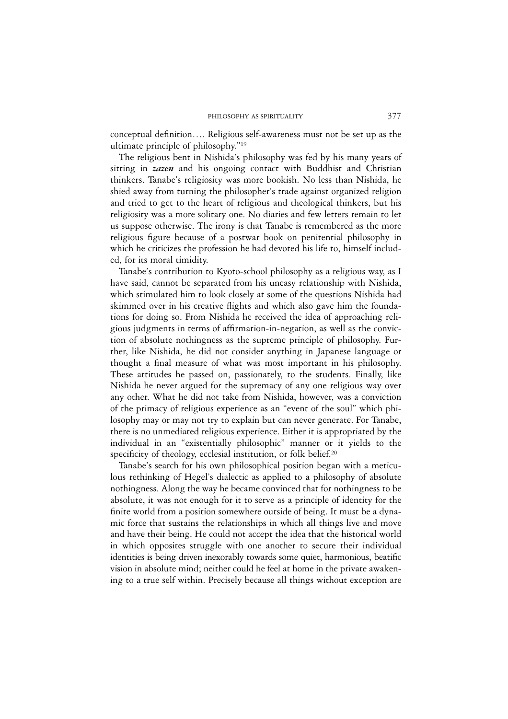conceptual definition.... Religious self-awareness must not be set up as the ultimate principle of philosophy."19

The religious bent in Nishida's philosophy was fed by his many years of sitting in *zazen* and his ongoing contact with Buddhist and Christian thinkers. Tanabe's religiosity was more bookish. No less than Nishida, he shied away from turning the philosopher's trade against organized religion and tried to get to the heart of religious and theological thinkers, but his religiosity was a more solitary one. No diaries and few letters remain to let us suppose otherwise. The irony is that Tanabe is remembered as the more religious figure because of a postwar book on penitential philosophy in which he criticizes the profession he had devoted his life to, himself included, for its moral timidity.

Tanabe's contribution to Kyoto-school philosophy as a religious way, as I have said, cannot be separated from his uneasy relationship with Nishida, which stimulated him to look closely at some of the questions Nishida had skimmed over in his creative flights and which also gave him the foundations for doing so. From Nishida he received the idea of approaching religious judgments in terms of affirmation-in-negation, as well as the conviction of absolute nothingness as the supreme principle of philosophy. Further, like Nishida, he did not consider anything in Japanese language or thought a final measure of what was most important in his philosophy. These attitudes he passed on, passionately, to the students. Finally, like Nishida he never argued for the supremacy of any one religious way over any other. What he did not take from Nishida, however, was a conviction of the primacy of religious experience as an "event of the soul" which philosophy may or may not try to explain but can never generate. For Tanabe, there is no unmediated religious experience. Either it is appropriated by the individual in an "existentially philosophic" manner or it yields to the specificity of theology, ecclesial institution, or folk belief.<sup>20</sup>

Tanabe's search for his own philosophical position began with a meticulous rethinking of Hegel's dialectic as applied to a philosophy of absolute nothingness. Along the way he became convinced that for nothingness to be absolute, it was not enough for it to serve as a principle of identity for the finite world from a position somewhere outside of being. It must be a dynamic force that sustains the relationships in which all things live and move and have their being. He could not accept the idea that the historical world in which opposites struggle with one another to secure their individual identities is being driven inexorably towards some quiet, harmonious, beatific vision in absolute mind; neither could he feel at home in the private awakening to a true self within. Precisely because all things without exception are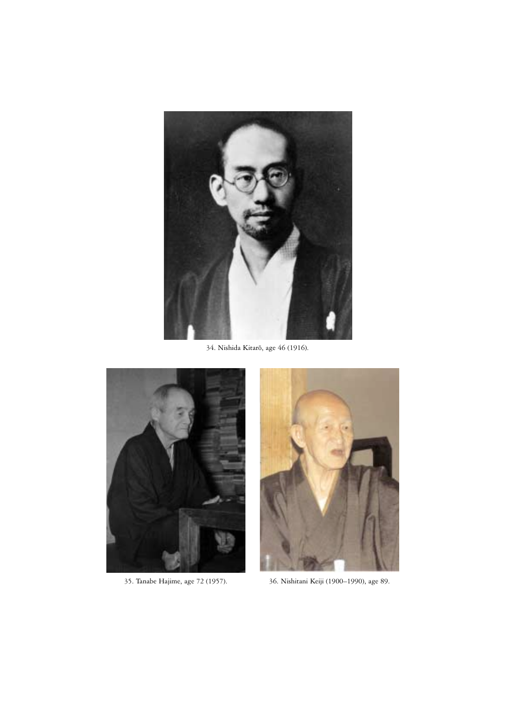

34. Nishida Kitarõ, age 46 (1916).





35. Tanabe Hajime, age 72 (1957). 36. Nishitani Keiji (1900–1990), age 89.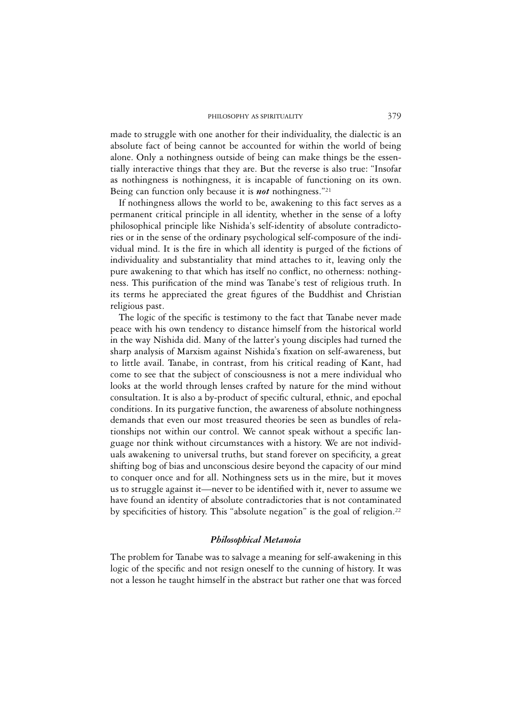made to struggle with one another for their individuality, the dialectic is an absolute fact of being cannot be accounted for within the world of being alone. Only a nothingness outside of being can make things be the essentially interactive things that they are. But the reverse is also true: "Insofar as nothingness is nothingness, it is incapable of functioning on its own. Being can function only because it is *not* nothingness."21

If nothingness allows the world to be, awakening to this fact serves as a permanent critical principle in all identity, whether in the sense of a lofty philosophical principle like Nishida's self-identity of absolute contradictories or in the sense of the ordinary psychological self-composure of the individual mind. It is the fire in which all identity is purged of the fictions of individuality and substantiality that mind attaches to it, leaving only the pure awakening to that which has itself no conflict, no otherness: nothingness. This purification of the mind was Tanabe's test of religious truth. In its terms he appreciated the great figures of the Buddhist and Christian religious past.

The logic of the specific is testimony to the fact that Tanabe never made peace with his own tendency to distance himself from the historical world in the way Nishida did. Many of the latter's young disciples had turned the sharp analysis of Marxism against Nishida's fixation on self-awareness, but to little avail. Tanabe, in contrast, from his critical reading of Kant, had come to see that the subject of consciousness is not a mere individual who looks at the world through lenses crafted by nature for the mind without consultation. It is also a by-product of specific cultural, ethnic, and epochal conditions. In its purgative function, the awareness of absolute nothingness demands that even our most treasured theories be seen as bundles of relationships not within our control. We cannot speak without a specific language nor think without circumstances with a history. We are not individuals awakening to universal truths, but stand forever on specificity, a great shifting bog of bias and unconscious desire beyond the capacity of our mind to conquer once and for all. Nothingness sets us in the mire, but it moves us to struggle against it—never to be identified with it, never to assume we have found an identity of absolute contradictories that is not contaminated by specificities of history. This "absolute negation" is the goal of religion.<sup>22</sup>

#### *Philosophical Metanoia*

The problem for Tanabe was to salvage a meaning for self-awakening in this logic of the specific and not resign oneself to the cunning of history. It was not a lesson he taught himself in the abstract but rather one that was forced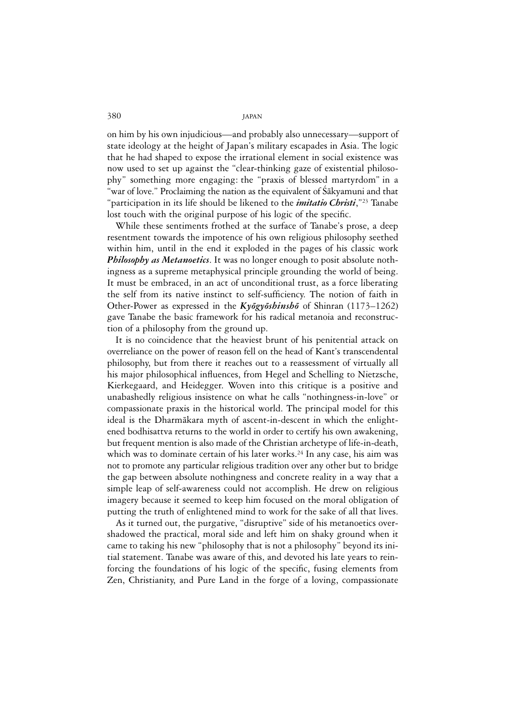on him by his own injudicious—and probably also unnecessary—support of state ideology at the height of Japan's military escapades in Asia. The logic that he had shaped to expose the irrational element in social existence was now used to set up against the "clear-thinking gaze of existential philosophy" something more engaging: the "praxis of blessed martyrdom" in a "war of love." Proclaiming the nation as the equivalent of Sakyamuni and that "participation in its life should be likened to the *imitatio Christi*,"23 Tanabe lost touch with the original purpose of his logic of the specific.

While these sentiments frothed at the surface of Tanabe's prose, a deep resentment towards the impotence of his own religious philosophy seethed within him, until in the end it exploded in the pages of his classic work *Philosophy as Metanoetics*. It was no longer enough to posit absolute nothingness as a supreme metaphysical principle grounding the world of being. It must be embraced, in an act of unconditional trust, as a force liberating the self from its native instinct to self-sufficiency. The notion of faith in Other-Power as expressed in the *Kyõgyõshinshõ* of Shinran (1173–1262) gave Tanabe the basic framework for his radical metanoia and reconstruction of a philosophy from the ground up.

It is no coincidence that the heaviest brunt of his penitential attack on overreliance on the power of reason fell on the head of Kant's transcendental philosophy, but from there it reaches out to a reassessment of virtually all his major philosophical influences, from Hegel and Schelling to Nietzsche, Kierkegaard, and Heidegger. Woven into this critique is a positive and unabashedly religious insistence on what he calls "nothingness-in-love" or compassionate praxis in the historical world. The principal model for this ideal is the Dharmākara myth of ascent-in-descent in which the enlightened bodhisattva returns to the world in order to certify his own awakening, but frequent mention is also made of the Christian archetype of life-in-death, which was to dominate certain of his later works.<sup>24</sup> In any case, his aim was not to promote any particular religious tradition over any other but to bridge the gap between absolute nothingness and concrete reality in a way that a simple leap of self-awareness could not accomplish. He drew on religious imagery because it seemed to keep him focused on the moral obligation of putting the truth of enlightened mind to work for the sake of all that lives.

As it turned out, the purgative, "disruptive" side of his metanoetics overshadowed the practical, moral side and left him on shaky ground when it came to taking his new "philosophy that is not a philosophy" beyond its initial statement. Tanabe was aware of this, and devoted his late years to reinforcing the foundations of his logic of the specific, fusing elements from Zen, Christianity, and Pure Land in the forge of a loving, compassionate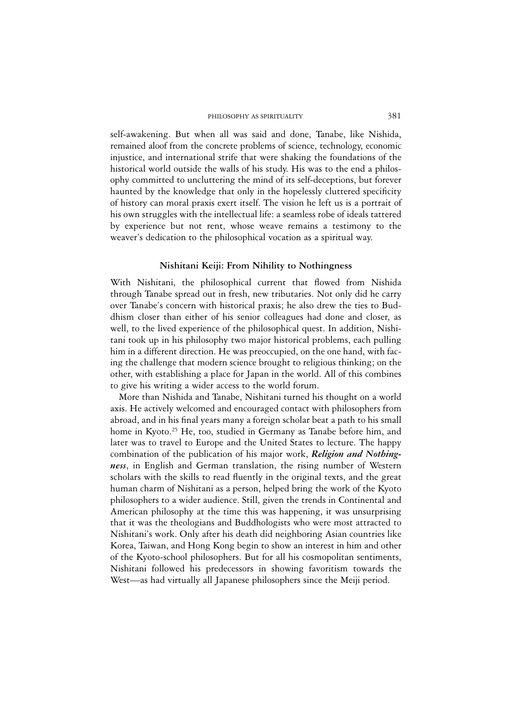self-awakening. But when all was said and done, Tanabe, like Nishida, remained aloof from the concrete problems of science, technology, economic injustice, and international strife that were shaking the foundations of the historical world outside the walls of his study. His was to the end a philosophy committed to uncluttering the mind of its self-deceptions, but forever haunted by the knowledge that only in the hopelessly cluttered specificity of history can moral praxis exert itself. The vision he left us is a portrait of his own struggles with the intellectual life: a seamless robe of ideals tattered by experience but not rent, whose weave remains a testimony to the weaver's dedication to the philosophical vocation as a spiritual way.

#### **Nishitani Keiji: From Nihility to Nothingness**

With Nishitani, the philosophical current that flowed from Nishida through Tanabe spread out in fresh, new tributaries. Not only did he carry over Tanabe's concern with historical praxis; he also drew the ties to Buddhism closer than either of his senior colleagues had done and closer, as well, to the lived experience of the philosophical quest. In addition, Nishitani took up in his philosophy two major historical problems, each pulling him in a different direction. He was preoccupied, on the one hand, with facing the challenge that modern science brought to religious thinking; on the other, with establishing a place for Japan in the world. All of this combines to give his writing a wider access to the world forum.

More than Nishida and Tanabe, Nishitani turned his thought on a world axis. He actively welcomed and encouraged contact with philosophers from abroad, and in his final years many a foreign scholar beat a path to his small home in Kyoto.<sup>25</sup> He, too, studied in Germany as Tanabe before him, and later was to travel to Europe and the United States to lecture. The happy combination of the publication of his major work, *Religion and Nothingness*, in English and German translation, the rising number of Western scholars with the skills to read fluently in the original texts, and the great human charm of Nishitani as a person, helped bring the work of the Kyoto philosophers to a wider audience. Still, given the trends in Continental and American philosophy at the time this was happening, it was unsurprising that it was the theologians and Buddhologists who were most attracted to Nishitani's work. Only after his death did neighboring Asian countries like Korea, Taiwan, and Hong Kong begin to show an interest in him and other of the Kyoto-school philosophers. But for all his cosmopolitan sentiments, Nishitani followed his predecessors in showing favoritism towards the West—as had virtually all Japanese philosophers since the Meiji period.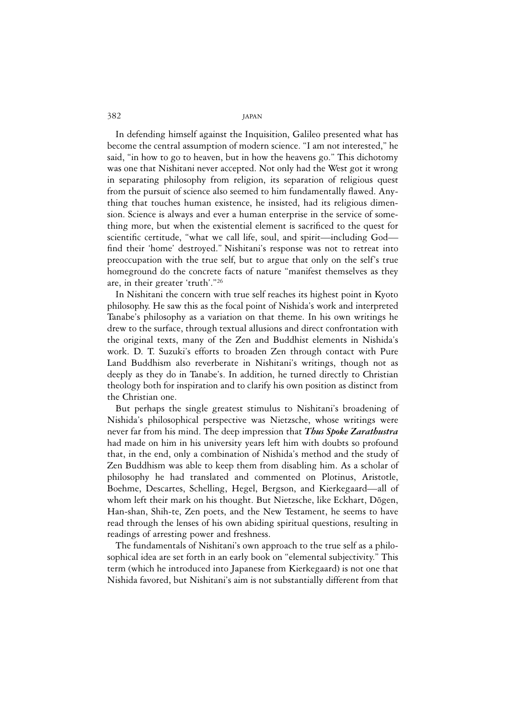In defending himself against the Inquisition, Galileo presented what has become the central assumption of modern science. "I am not interested," he said, "in how to go to heaven, but in how the heavens go." This dichotomy was one that Nishitani never accepted. Not only had the West got it wrong in separating philosophy from religion, its separation of religious quest from the pursuit of science also seemed to him fundamentally flawed. Anything that touches human existence, he insisted, had its religious dimension. Science is always and ever a human enterprise in the service of something more, but when the existential element is sacrificed to the quest for scientific certitude, "what we call life, soul, and spirit—including God find their 'home' destroyed." Nishitani's response was not to retreat into preoccupation with the true self, but to argue that only on the self's true homeground do the concrete facts of nature "manifest themselves as they are, in their greater 'truth'."26

In Nishitani the concern with true self reaches its highest point in Kyoto philosophy. He saw this as the focal point of Nishida's work and interpreted Tanabe's philosophy as a variation on that theme. In his own writings he drew to the surface, through textual allusions and direct confrontation with the original texts, many of the Zen and Buddhist elements in Nishida's work. D. T. Suzuki's efforts to broaden Zen through contact with Pure Land Buddhism also reverberate in Nishitani's writings, though not as deeply as they do in Tanabe's. In addition, he turned directly to Christian theology both for inspiration and to clarify his own position as distinct from the Christian one.

But perhaps the single greatest stimulus to Nishitani's broadening of Nishida's philosophical perspective was Nietzsche, whose writings were never far from his mind. The deep impression that *Thus Spoke Zarathustra* had made on him in his university years left him with doubts so profound that, in the end, only a combination of Nishida's method and the study of Zen Buddhism was able to keep them from disabling him. As a scholar of philosophy he had translated and commented on Plotinus, Aristotle, Boehme, Descartes, Schelling, Hegel, Bergson, and Kierkegaard—all of whom left their mark on his thought. But Nietzsche, like Eckhart, Dõgen, Han-shan, Shih-te, Zen poets, and the New Testament, he seems to have read through the lenses of his own abiding spiritual questions, resulting in readings of arresting power and freshness.

The fundamentals of Nishitani's own approach to the true self as a philosophical idea are set forth in an early book on "elemental subjectivity." This term (which he introduced into Japanese from Kierkegaard) is not one that Nishida favored, but Nishitani's aim is not substantially different from that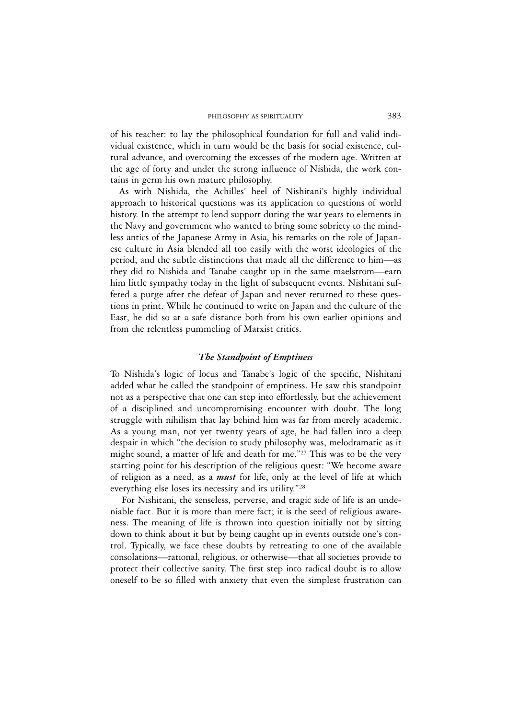of his teacher: to lay the philosophical foundation for full and valid individual existence, which in turn would be the basis for social existence, cultural advance, and overcoming the excesses of the modern age. Written at the age of forty and under the strong influence of Nishida, the work contains in germ his own mature philosophy.

As with Nishida, the Achilles' heel of Nishitani's highly individual approach to historical questions was its application to questions of world history. In the attempt to lend support during the war years to elements in the Navy and government who wanted to bring some sobriety to the mindless antics of the Japanese Army in Asia, his remarks on the role of Japanese culture in Asia blended all too easily with the worst ideologies of the period, and the subtle distinctions that made all the difference to him—as they did to Nishida and Tanabe caught up in the same maelstrom—earn him little sympathy today in the light of subsequent events. Nishitani suffered a purge after the defeat of Japan and never returned to these questions in print. While he continued to write on Japan and the culture of the East, he did so at a safe distance both from his own earlier opinions and from the relentless pummeling of Marxist critics.

#### *The Standpoint of Emptiness*

To Nishida's logic of locus and Tanabe's logic of the specific, Nishitani added what he called the standpoint of emptiness. He saw this standpoint not as a perspective that one can step into effortlessly, but the achievement of a disciplined and uncompromising encounter with doubt. The long struggle with nihilism that lay behind him was far from merely academic. As a young man, not yet twenty years of age, he had fallen into a deep despair in which "the decision to study philosophy was, melodramatic as it might sound, a matter of life and death for me."27 This was to be the very starting point for his description of the religious quest: "We become aware of religion as a need, as a *must* for life, only at the level of life at which everything else loses its necessity and its utility."28

For Nishitani, the senseless, perverse, and tragic side of life is an undeniable fact. But it is more than mere fact; it is the seed of religious awareness. The meaning of life is thrown into question initially not by sitting down to think about it but by being caught up in events outside one's control. Typically, we face these doubts by retreating to one of the available consolations—rational, religious, or otherwise—that all societies provide to protect their collective sanity. The first step into radical doubt is to allow oneself to be so filled with anxiety that even the simplest frustration can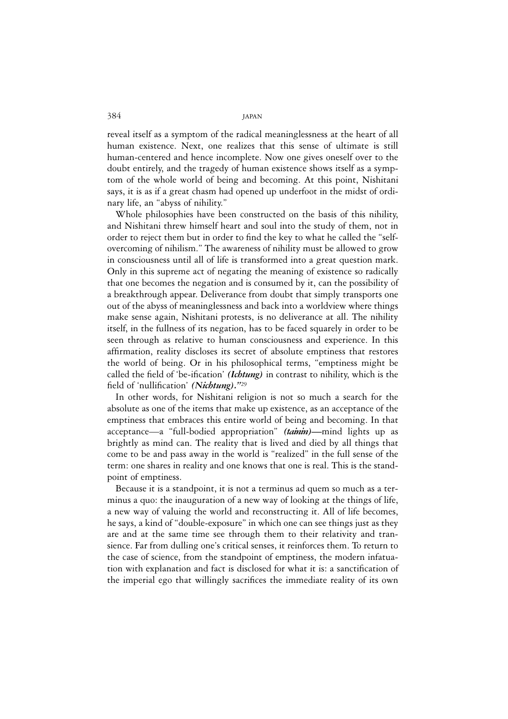reveal itself as a symptom of the radical meaninglessness at the heart of all human existence. Next, one realizes that this sense of ultimate is still human-centered and hence incomplete. Now one gives oneself over to the doubt entirely, and the tragedy of human existence shows itself as a symptom of the whole world of being and becoming. At this point, Nishitani says, it is as if a great chasm had opened up underfoot in the midst of ordinary life, an "abyss of nihility."

Whole philosophies have been constructed on the basis of this nihility, and Nishitani threw himself heart and soul into the study of them, not in order to reject them but in order to find the key to what he called the "selfovercoming of nihilism." The awareness of nihility must be allowed to grow in consciousness until all of life is transformed into a great question mark. Only in this supreme act of negating the meaning of existence so radically that one becomes the negation and is consumed by it, can the possibility of a breakthrough appear. Deliverance from doubt that simply transports one out of the abyss of meaninglessness and back into a worldview where things make sense again, Nishitani protests, is no deliverance at all. The nihility itself, in the fullness of its negation, has to be faced squarely in order to be seen through as relative to human consciousness and experience. In this affirmation, reality discloses its secret of absolute emptiness that restores the world of being. Or in his philosophical terms, "emptiness might be called the field of 'be-ification' *(Ichtung)* in contrast to nihility, which is the field of 'nullification' *(Nichtung)*."<sup>29</sup>

In other words, for Nishitani religion is not so much a search for the absolute as one of the items that make up existence, as an acceptance of the emptiness that embraces this entire world of being and becoming. In that acceptance—a "full-bodied appropriation" *(tainin)—*mind lights up as brightly as mind can. The reality that is lived and died by all things that come to be and pass away in the world is "realized" in the full sense of the term: one shares in reality and one knows that one is real. This is the standpoint of emptiness.

Because it is a standpoint, it is not a terminus ad quem so much as a terminus a quo: the inauguration of a new way of looking at the things of life, a new way of valuing the world and reconstructing it. All of life becomes, he says, a kind of "double-exposure" in which one can see things just as they are and at the same time see through them to their relativity and transience. Far from dulling one's critical senses, it reinforces them. To return to the case of science, from the standpoint of emptiness, the modern infatuation with explanation and fact is disclosed for what it is: a sanctification of the imperial ego that willingly sacrifices the immediate reality of its own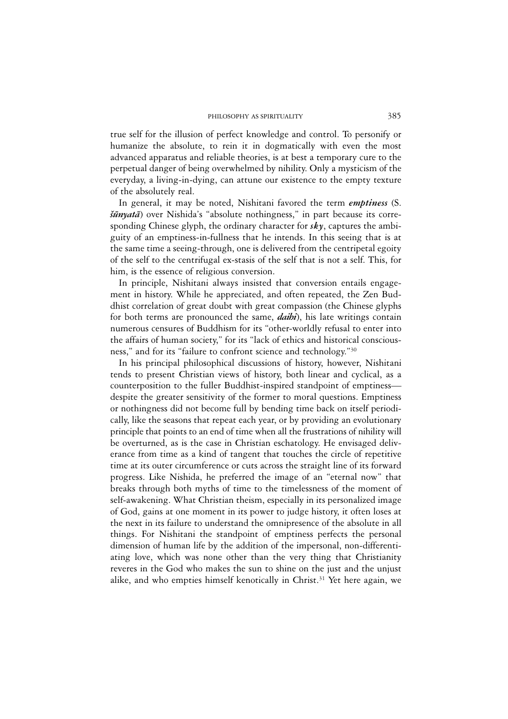true self for the illusion of perfect knowledge and control. To personify or humanize the absolute, to rein it in dogmatically with even the most advanced apparatus and reliable theories, is at best a temporary cure to the perpetual danger of being overwhelmed by nihility. Only a mysticism of the everyday, a living-in-dying, can attune our existence to the empty texture of the absolutely real.

In general, it may be noted, Nishitani favored the term *emptiness* (S. *šūnyatā*) over Nishida's "absolute nothingness," in part because its corresponding Chinese glyph, the ordinary character for *sky*, captures the ambiguity of an emptiness-in-fullness that he intends. In this seeing that is at the same time a seeing-through, one is delivered from the centripetal egoity of the self to the centrifugal ex-stasis of the self that is not a self. This, for him, is the essence of religious conversion.

In principle, Nishitani always insisted that conversion entails engagement in history. While he appreciated, and often repeated, the Zen Buddhist correlation of great doubt with great compassion (the Chinese glyphs for both terms are pronounced the same, *daihi*), his late writings contain numerous censures of Buddhism for its "other-worldly refusal to enter into the affairs of human society," for its "lack of ethics and historical consciousness," and for its "failure to confront science and technology."30

In his principal philosophical discussions of history, however, Nishitani tends to present Christian views of history, both linear and cyclical, as a counterposition to the fuller Buddhist-inspired standpoint of emptiness despite the greater sensitivity of the former to moral questions. Emptiness or nothingness did not become full by bending time back on itself periodically, like the seasons that repeat each year, or by providing an evolutionary principle that points to an end of time when all the frustrations of nihility will be overturned, as is the case in Christian eschatology. He envisaged deliverance from time as a kind of tangent that touches the circle of repetitive time at its outer circumference or cuts across the straight line of its forward progress. Like Nishida, he preferred the image of an "eternal now" that breaks through both myths of time to the timelessness of the moment of self-awakening. What Christian theism, especially in its personalized image of God, gains at one moment in its power to judge history, it often loses at the next in its failure to understand the omnipresence of the absolute in all things. For Nishitani the standpoint of emptiness perfects the personal dimension of human life by the addition of the impersonal, non-differentiating love, which was none other than the very thing that Christianity reveres in the God who makes the sun to shine on the just and the unjust alike, and who empties himself kenotically in Christ.31 Yet here again, we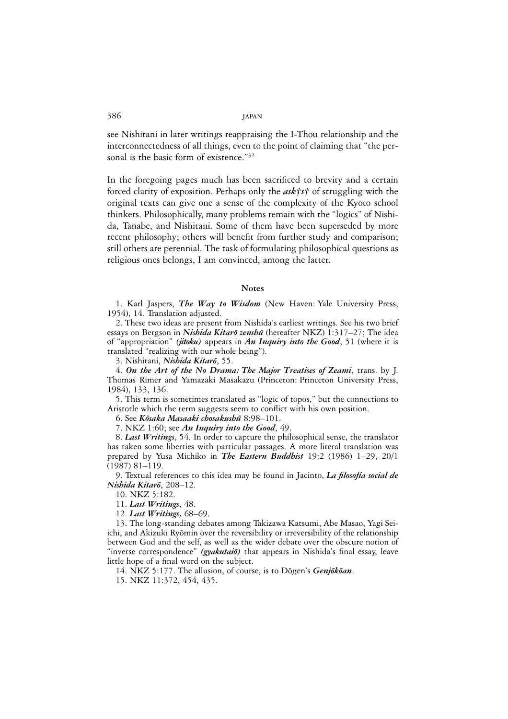see Nishitani in later writings reappraising the I-Thou relationship and the interconnectedness of all things, even to the point of claiming that "the personal is the basic form of existence."<sup>32</sup>

In the foregoing pages much has been sacrificed to brevity and a certain forced clarity of exposition. Perhaps only the *ask†s†* of struggling with the original texts can give one a sense of the complexity of the Kyoto school thinkers. Philosophically, many problems remain with the "logics" of Nishida, Tanabe, and Nishitani. Some of them have been superseded by more recent philosophy; others will benefit from further study and comparison; still others are perennial. The task of formulating philosophical questions as religious ones belongs, I am convinced, among the latter.

#### **Notes**

1. Karl Jaspers, *The Way to Wisdom* (New Haven: Yale University Press, 1954), 14. Translation adjusted.

2. These two ideas are present from Nishida's earliest writings. See his two brief essays on Bergson in *Nishida Kitarō zenshū* (hereafter NKZ) 1:317-27; The idea of "appropriation" *(jitoku)* appears in *An Inquiry into the Good*, 51 (where it is translated "realizing with our whole being").

3. Nishitani, *Nishida Kitarõ*, 55.

4. *On the Art of the No Drama: The Major Treatises of Zeami*, trans. by J. Thomas Rimer and Yamazaki Masakazu (Princeton: Princeton University Press, 1984), 133, 136.

5. This term is sometimes translated as "logic of topos," but the connections to Aristotle which the term suggests seem to conflict with his own position.

6. See *Kõsaka Masaaki chosakushð* 8:98–101.

7. NKZ 1:60; see *An Inquiry into the Good*, 49.

8. *Last Writings*, 54. In order to capture the philosophical sense, the translator has taken some liberties with particular passages. A more literal translation was prepared by Yusa Michiko in *The Eastern Buddhist* 19:2 (1986) 1–29, 20/1 (1987) 81–119.

9. Textual references to this idea may be found in Jacinto, *La filosofía social de Nishida Kitarõ*, 208–12.

10. NKZ 5:182.

11. *Last Writings*, 48.

12. *Last Writings,* 68–69.

13. The long-standing debates among Takizawa Katsumi, Abe Masao, Yagi Seiichi, and Akizuki Ryõmin over the reversibility or irreversibility of the relationship between God and the self, as well as the wider debate over the obscure notion of "inverse correspondence" *(gyakutai*ō) that appears in Nishida's final essay, leave little hope of a final word on the subject.

14. NKZ 5:177. The allusion, of course, is to Dõgen's *Genjõkõan*.

15. NKZ 11:372, 454, 435.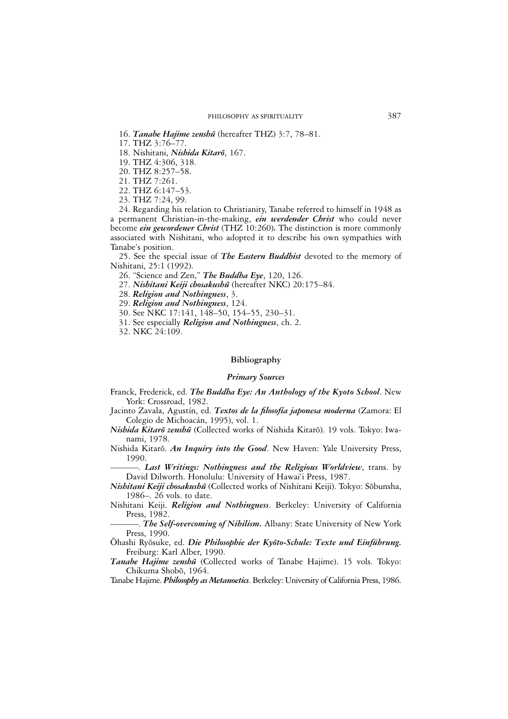16. *Tanabe Hajime zenshð* (hereafter THZ) 3:7, 78–81.

17. THZ 3:76–77.

18. Nishitani, *Nishida Kitarõ*, 167.

19. THZ 4:306, 318.

20. THZ 8:257–58.

21. THZ 7:261.

22. THZ 6:147–53.

23. THZ 7:24, 99.

24. Regarding his relation to Christianity, Tanabe referred to himself in 1948 as a permanent Christian-in-the-making, *ein werdender Christ* who could never become *ein gewordener Christ* (THZ 10:260)*.* The distinction is more commonly associated with Nishitani, who adopted it to describe his own sympathies with Tanabe's position.

25. See the special issue of *The Eastern Buddhist* devoted to the memory of Nishitani, 25:1 (1992).

26. "Science and Zen," *The Buddha Eye*, 120, 126.

27. *Nishitani Keiji chosakushð* (hereafter NKC) 20:175–84.

28. *Religion and Nothingness*, 3.

29. *Religion and Nothingness*, 124.

30. See NKC 17:141, 148–50, 154–55, 230–31.

31. See especially *Religion and Nothingness*, ch. 2.

32. NKC 24:109.

#### **Bibliography**

*Primary Sources*

Franck, Frederick, ed. *The Buddha Eye: An Anthology of the Kyoto School*. New York: Crossroad, 1982.

Jacinto Zavala, Agustín, ed. *Textos de la filosofía japonesa moderna* (Zamora: El Colegio de Michoacán, 1995), vol. 1.

*Nishida Kitarõ zenshð* (Collected works of Nishida Kitarõ). 19 vols. Tokyo: Iwanami, 1978.

Nishida Kitarõ. *An Inquiry into the Good*. New Haven: Yale University Press, 1990.

———. *Last Writings: Nothingness and the Religious Worldview*, trans. by David Dilworth. Honolulu: University of Hawai'i Press, 1987.

*Nishitani Keiji chosakushð* (Collected works of Nishitani Keiji). Tokyo: Sõbunsha, 1986–. 26 vols. to date.

Nishitani Keiji. *Religion and Nothingness*. Berkeley: University of California Press, 1982.

. *The Self-overcoming of Nihilism.* Albany: State University of New York Press, 1990.

Õhashi Ryõsuke, ed. *Die Philosophie der Kyõto-Schule: Texte und Einführung.* Freiburg: Karl Alber, 1990.

*Tanabe Hajime zenshð* (Collected works of Tanabe Hajime). 15 vols. Tokyo: Chikuma Shobõ, 1964.

Tanabe Hajime. *Philosophy as Metanoetics*. Berkeley: University of California Press, 1986.